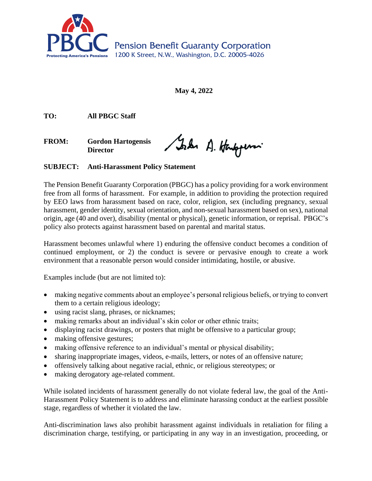

**May 4, 2022**

**TO: All PBGC Staff** 

**FROM: Gordon Hartogensis Director**

Sorks A. Hampson

## **SUBJECT: Anti-Harassment Policy Statement**

The Pension Benefit Guaranty Corporation (PBGC) has a policy providing for a work environment free from all forms of harassment. For example, in addition to providing the protection required by EEO laws from harassment based on race, color, religion, sex (including pregnancy, sexual harassment, gender identity, sexual orientation, and non-sexual harassment based on sex), national origin, age (40 and over), disability (mental or physical), genetic information, or reprisal. PBGC's policy also protects against harassment based on parental and marital status.

Harassment becomes unlawful where 1) enduring the offensive conduct becomes a condition of continued employment, or 2) the conduct is severe or pervasive enough to create a work environment that a reasonable person would consider intimidating, hostile, or abusive.

Examples include (but are not limited to):

- making negative comments about an employee's personal religious beliefs, or trying to convert them to a certain religious ideology;
- using racist slang, phrases, or nicknames;
- making remarks about an individual's skin color or other ethnic traits;
- displaying racist drawings, or posters that might be offensive to a particular group;
- making offensive gestures;
- making offensive reference to an individual's mental or physical disability;
- sharing inappropriate images, videos, e-mails, letters, or notes of an offensive nature;
- offensively talking about negative racial, ethnic, or religious stereotypes; or
- making derogatory age-related comment.

While isolated incidents of harassment generally do not violate federal law, the goal of the Anti-Harassment Policy Statement is to address and eliminate harassing conduct at the earliest possible stage, regardless of whether it violated the law.

Anti-discrimination laws also prohibit harassment against individuals in retaliation for filing a discrimination charge, testifying, or participating in any way in an investigation, proceeding, or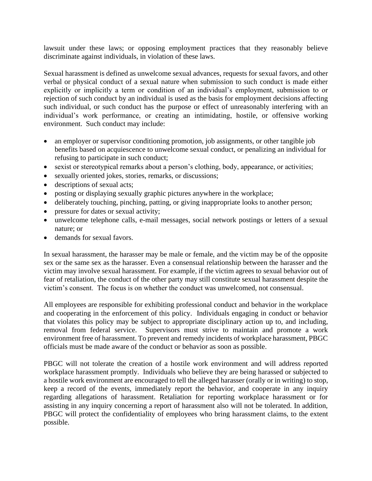lawsuit under these laws; or opposing employment practices that they reasonably believe discriminate against individuals, in violation of these laws.

Sexual harassment is defined as unwelcome sexual advances, requests for sexual favors, and other verbal or physical conduct of a sexual nature when submission to such conduct is made either explicitly or implicitly a term or condition of an individual's employment, submission to or rejection of such conduct by an individual is used as the basis for employment decisions affecting such individual, or such conduct has the purpose or effect of unreasonably interfering with an individual's work performance, or creating an intimidating, hostile, or offensive working environment. Such conduct may include:

- an employer or supervisor conditioning promotion, job assignments, or other tangible job benefits based on acquiescence to unwelcome sexual conduct, or penalizing an individual for refusing to participate in such conduct;
- sexist or stereotypical remarks about a person's clothing, body, appearance, or activities;
- sexually oriented jokes, stories, remarks, or discussions;
- descriptions of sexual acts;
- posting or displaying sexually graphic pictures anywhere in the workplace;
- deliberately touching, pinching, patting, or giving inappropriate looks to another person;
- pressure for dates or sexual activity;
- unwelcome telephone calls, e-mail messages, social network postings or letters of a sexual nature; or
- demands for sexual favors.

In sexual harassment, the harasser may be male or female, and the victim may be of the opposite sex or the same sex as the harasser. Even a consensual relationship between the harasser and the victim may involve sexual harassment. For example, if the victim agrees to sexual behavior out of fear of retaliation, the conduct of the other party may still constitute sexual harassment despite the victim's consent. The focus is on whether the conduct was unwelcomed, not consensual.

All employees are responsible for exhibiting professional conduct and behavior in the workplace and cooperating in the enforcement of this policy. Individuals engaging in conduct or behavior that violates this policy may be subject to appropriate disciplinary action up to, and including, removal from federal service. Supervisors must strive to maintain and promote a work environment free of harassment. To prevent and remedy incidents of workplace harassment, PBGC officials must be made aware of the conduct or behavior as soon as possible.

PBGC will not tolerate the creation of a hostile work environment and will address reported workplace harassment promptly. Individuals who believe they are being harassed or subjected to a hostile work environment are encouraged to tell the alleged harasser (orally or in writing) to stop, keep a record of the events, immediately report the behavior, and cooperate in any inquiry regarding allegations of harassment. Retaliation for reporting workplace harassment or for assisting in any inquiry concerning a report of harassment also will not be tolerated. In addition, PBGC will protect the confidentiality of employees who bring harassment claims, to the extent possible.